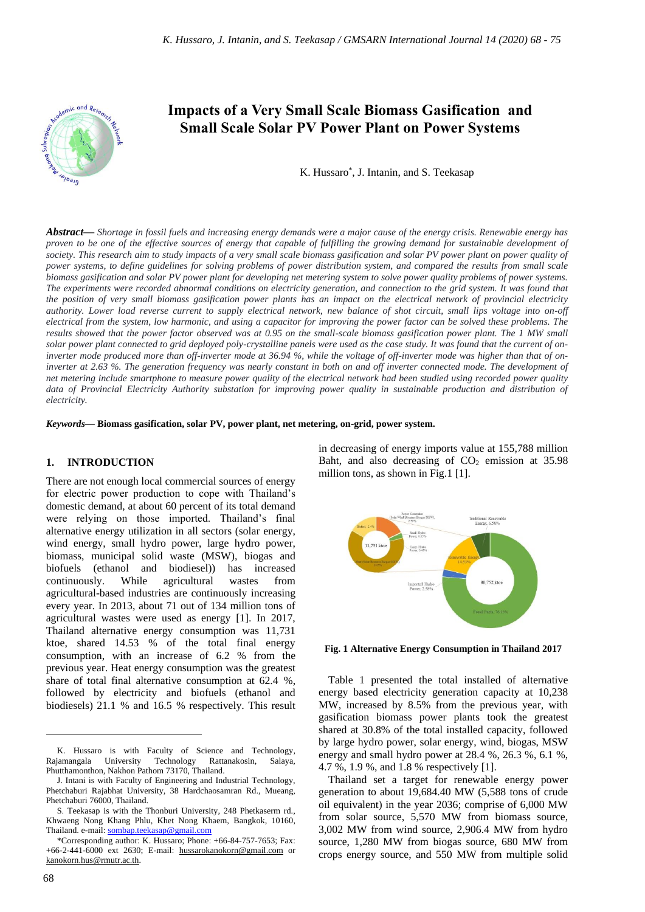

# **Impacts of a Very Small Scale Biomass Gasification and Small Scale Solar PV Power Plant on Power Systems**

K. Hussaro\* , J. Intanin, and S. Teekasap

*Abstract***—** *Shortage in fossil fuels and increasing energy demands were a major cause of the energy crisis. Renewable energy has proven to be one of the effective sources of energy that capable of fulfilling the growing demand for sustainable development of society. This research aim to study impacts of a very small scale biomass gasification and solar PV power plant on power quality of power systems, to define guidelines for solving problems of power distribution system, and compared the results from small scale biomass gasification and solar PV power plant for developing net metering system to solve power quality problems of power systems. The experiments were recorded abnormal conditions on electricity generation, and connection to the grid system. It was found that the position of very small biomass gasification power plants has an impact on the electrical network of provincial electricity authority. Lower load reverse current to supply electrical network, new balance of shot circuit, small lips voltage into on-off electrical from the system, low harmonic, and using a capacitor for improving the power factor can be solved these problems. The results showed that the power factor observed was at 0.95 on the small-scale biomass gasification power plant. The 1 MW small solar power plant connected to grid deployed poly-crystalline panels were used as the case study. It was found that the current of on*inverter mode produced more than off-inverter mode at 36.94 %, while the voltage of off-inverter mode was higher than that of on*inverter at 2.63 %. The generation frequency was nearly constant in both on and off inverter connected mode. The development of net metering include smartphone to measure power quality of the electrical network had been studied using recorded power quality data of Provincial Electricity Authority substation for improving power quality in sustainable production and distribution of electricity.*

*Keywords***— Biomass gasification, solar PV, power plant, net metering, on-grid, power system.**

#### **1. INTRODUCTION**

There are not enough local commercial sources of energy for electric power production to cope with Thailand's domestic demand, at about 60 percent of its total demand were relying on those imported. Thailand's final alternative energy utilization in all sectors (solar energy, wind energy, small hydro power, large hydro power, biomass, municipal solid waste (MSW), biogas and biofuels (ethanol and biodiesel)) has increased continuously. While agricultural wastes from agricultural-based industries are continuously increasing every year. In 2013, about 71 out of 134 million tons of agricultural wastes were used as energy [1]. In 2017, Thailand alternative energy consumption was 11,731 ktoe, shared 14.53 % of the total final energy consumption, with an increase of 6.2 % from the previous year. Heat energy consumption was the greatest share of total final alternative consumption at 62.4 %, followed by electricity and biofuels (ethanol and biodiesels) 21.1 % and 16.5 % respectively. This result

in decreasing of energy imports value at 155,788 million Baht, and also decreasing of  $CO<sub>2</sub>$  emission at 35.98 million tons, as shown in Fig.1 [1].



**Fig. 1 Alternative Energy Consumption in Thailand 2017**

Table 1 presented the total installed of alternative energy based electricity generation capacity at 10,238 MW, increased by 8.5% from the previous year, with gasification biomass power plants took the greatest shared at 30.8% of the total installed capacity, followed by large hydro power, solar energy, wind, biogas, MSW energy and small hydro power at 28.4 %, 26.3 %, 6.1 %, 4.7 %, 1.9 %, and 1.8 % respectively [1].

Thailand set a target for renewable energy power generation to about 19,684.40 MW (5,588 tons of crude oil equivalent) in the year 2036; comprise of 6,000 MW from solar source, 5,570 MW from biomass source, 3,002 MW from wind source, 2,906.4 MW from hydro source, 1,280 MW from biogas source, 680 MW from crops energy source, and 550 MW from multiple solid

K. Hussaro is with Faculty of Science and Technology, Rajamangala University Technology Rattanakosin, Salaya, Phutthamonthon, Nakhon Pathom 73170, Thailand.

J. Intani is with Faculty of Engineering and Industrial Technology, Phetchaburi Rajabhat University, 38 Hardchaosamran Rd., Mueang, Phetchaburi 76000, Thailand.

S. Teekasap is with the Thonburi University, 248 Phetkaserm rd., Khwaeng Nong Khang Phlu, Khet Nong Khaem, Bangkok, 10160, Thailand. e-mail[: sombap.teekasap@gmail.com](mailto:sombap.teekasap@gmail.com)

<sup>\*</sup>Corresponding author: K. Hussaro; Phone: +66-84-757-7653; Fax: +66-2-441-6000 ext 2630; E-mail: [hussarokanokorn@gmail.com](mailto:hussarokanokorn@gmail.com) or [kanokorn.hus@rmutr.ac.th.](mailto:kanokorn.hus@rmutr.ac.th)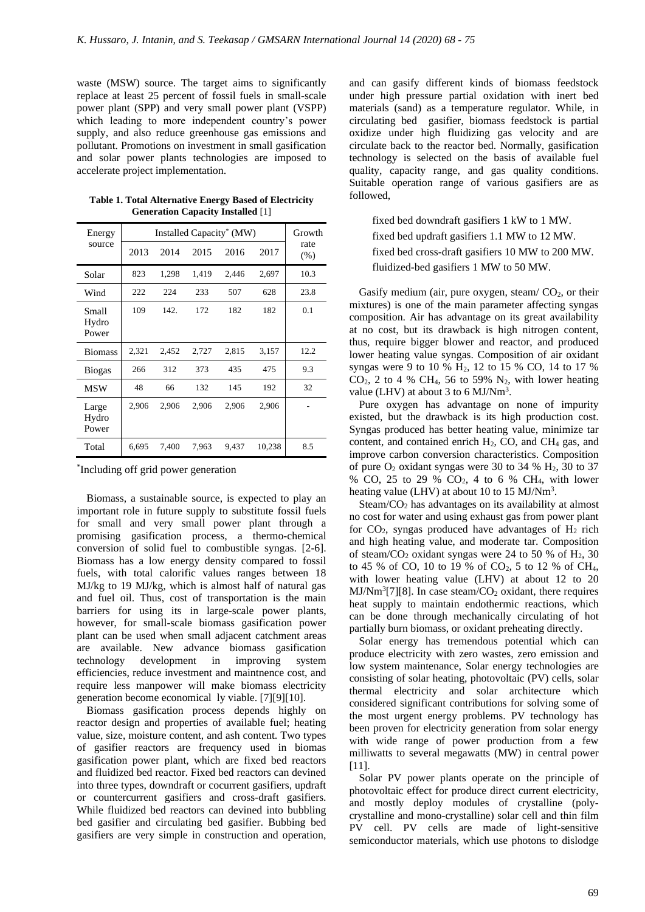waste (MSW) source. The target aims to significantly replace at least 25 percent of fossil fuels in small-scale power plant (SPP) and very small power plant (VSPP) which leading to more independent country's power supply, and also reduce greenhouse gas emissions and pollutant. Promotions on investment in small gasification and solar power plants technologies are imposed to accelerate project implementation.

| Energy<br>source        | Installed Capacity <sup>*</sup> (MW) |       |       |       |        | Growth       |
|-------------------------|--------------------------------------|-------|-------|-------|--------|--------------|
|                         | 2013                                 | 2014  | 2015  | 2016  | 2017   | rate<br>(% ) |
| Solar                   | 823                                  | 1,298 | 1,419 | 2,446 | 2,697  | 10.3         |
| Wind                    | 222                                  | 224   | 233   | 507   | 628    | 23.8         |
| Small<br>Hydro<br>Power | 109                                  | 142.  | 172   | 182   | 182    | 0.1          |
| <b>Biomass</b>          | 2,321                                | 2,452 | 2,727 | 2,815 | 3,157  | 12.2         |
| <b>Biogas</b>           | 266                                  | 312   | 373   | 435   | 475    | 9.3          |
| <b>MSW</b>              | 48                                   | 66    | 132   | 145   | 192    | 32           |
| Large<br>Hydro<br>Power | 2,906                                | 2,906 | 2,906 | 2,906 | 2,906  |              |
| Total                   | 6,695                                | 7,400 | 7.963 | 9.437 | 10,238 | 8.5          |

**Table 1. Total Alternative Energy Based of Electricity Generation Capacity Installed** [1]

\* Including off grid power generation

Biomass, a sustainable source, is expected to play an important role in future supply to substitute fossil fuels for small and very small power plant through a promising gasification process, a thermo-chemical conversion of solid fuel to combustible syngas. [2-6]. Biomass has a low energy density compared to fossil fuels, with total calorific values ranges between 18 MJ/kg to 19 MJ/kg, which is almost half of natural gas and fuel oil. Thus, cost of transportation is the main barriers for using its in large-scale power plants, however, for small-scale biomass gasification power plant can be used when small adjacent catchment areas are available. New advance biomass gasification technology development in improving system efficiencies, reduce investment and maintnence cost, and require less manpower will make biomass electricity generation become economical ly viable. [7][9][10].

Biomass gasification process depends highly on reactor design and properties of available fuel; heating value, size, moisture content, and ash content. Two types of gasifier reactors are frequency used in biomas gasification power plant, which are fixed bed reactors and fluidized bed reactor. Fixed bed reactors can devined into three types, downdraft or cocurrent gasifiers, updraft or countercurrent gasifiers and cross-draft gasifiers. While fluidized bed reactors can devined into bubbling bed gasifier and circulating bed gasifier. Bubbing bed gasifiers are very simple in construction and operation,

and can gasify different kinds of biomass feedstock under high pressure partial oxidation with inert bed materials (sand) as a temperature regulator. While, in circulating bed gasifier, biomass feedstock is partial oxidize under high fluidizing gas velocity and are circulate back to the reactor bed. Normally, gasification technology is selected on the basis of available fuel quality, capacity range, and gas quality conditions. Suitable operation range of various gasifiers are as followed,

fixed bed downdraft gasifiers 1 kW to 1 MW. fixed bed updraft gasifiers 1.1 MW to 12 MW. fixed bed cross-draft gasifiers 10 MW to 200 MW. fluidized-bed gasifiers 1 MW to 50 MW.

Gasify medium (air, pure oxygen, steam/ $CO<sub>2</sub>$ , or their mixtures) is one of the main parameter affecting syngas composition. Air has advantage on its great availability at no cost, but its drawback is high nitrogen content, thus, require bigger blower and reactor, and produced lower heating value syngas. Composition of air oxidant syngas were 9 to 10 % H2, 12 to 15 % CO, 14 to 17 %  $CO<sub>2</sub>$ , 2 to 4 % CH<sub>4</sub>, 56 to 59% N<sub>2</sub>, with lower heating value (LHV) at about 3 to 6 MJ/Nm<sup>3</sup>.

Pure oxygen has advantage on none of impurity existed, but the drawback is its high production cost. Syngas produced has better heating value, minimize tar content, and contained enrich  $H_2$ , CO, and CH<sub>4</sub> gas, and improve carbon conversion characteristics. Composition of pure  $O_2$  oxidant syngas were 30 to 34 %  $H_2$ , 30 to 37 % CO, 25 to 29 % CO2, 4 to 6 % CH4, with lower heating value (LHV) at about 10 to 15 MJ/Nm<sup>3</sup>.

Steam/CO<sup>2</sup> has advantages on its availability at almost no cost for water and using exhaust gas from power plant for  $CO<sub>2</sub>$ , syngas produced have advantages of  $H<sub>2</sub>$  rich and high heating value, and moderate tar. Composition of steam/ $CO<sub>2</sub>$  oxidant syngas were 24 to 50 % of H<sub>2</sub>, 30 to 45 % of CO, 10 to 19 % of CO<sub>2</sub>, 5 to 12 % of CH<sub>4</sub>, with lower heating value (LHV) at about 12 to 20  $MJ/Nm<sup>3</sup>[7][8]$ . In case steam/ $CO<sub>2</sub>$  oxidant, there requires heat supply to maintain endothermic reactions, which can be done through mechanically circulating of hot partially burn biomass, or oxidant preheating directly.

Solar energy has tremendous potential which can produce electricity with zero wastes, zero emission and low system maintenance, Solar energy technologies are consisting of solar heating, photovoltaic (PV) cells, solar thermal electricity and solar architecture which considered significant contributions for solving some of the most urgent energy problems. PV technology has been proven for electricity generation from solar energy with wide range of power production from a few milliwatts to several megawatts (MW) in central power [11].

Solar PV power plants operate on the principle of photovoltaic effect for produce direct current electricity, and mostly deploy modules of crystalline (polycrystalline and mono-crystalline) solar cell and thin film PV cell. PV cells are made of light-sensitive semiconductor materials, which use photons to dislodge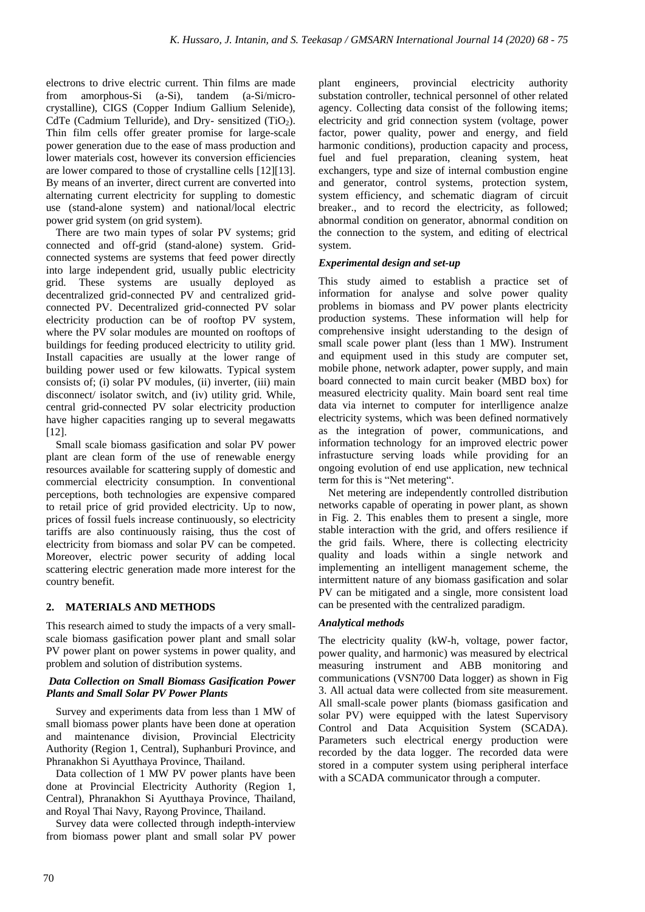electrons to drive electric current. Thin films are made from amorphous-Si (a-Si), tandem (a-Si/microcrystalline), CIGS (Copper Indium Gallium Selenide), CdTe (Cadmium Telluride), and Dry- sensitized  $(TiO<sub>2</sub>)$ . Thin film cells offer greater promise for large-scale power generation due to the ease of mass production and lower materials cost, however its conversion efficiencies are lower compared to those of crystalline cells [12][13]. By means of an inverter, direct current are converted into alternating current electricity for suppling to domestic use (stand-alone system) and national/local electric power grid system (on grid system).

There are two main types of solar PV systems; grid connected and off-grid (stand-alone) system. Gridconnected systems are systems that feed power directly into large independent grid, usually public electricity grid. These systems are usually deployed as decentralized grid-connected PV and centralized gridconnected PV. Decentralized grid-connected PV solar electricity production can be of rooftop PV system, where the PV solar modules are mounted on rooftops of buildings for feeding produced electricity to utility grid. Install capacities are usually at the lower range of building power used or few kilowatts. Typical system consists of; (i) solar PV modules, (ii) inverter, (iii) main disconnect/ isolator switch, and (iv) utility grid. While, central grid-connected PV solar electricity production have higher capacities ranging up to several megawatts [12].

Small scale biomass gasification and solar PV power plant are clean form of the use of renewable energy resources available for scattering supply of domestic and commercial electricity consumption. In conventional perceptions, both technologies are expensive compared to retail price of grid provided electricity. Up to now, prices of fossil fuels increase continuously, so electricity tariffs are also continuously raising, thus the cost of electricity from biomass and solar PV can be competed. Moreover, electric power security of adding local scattering electric generation made more interest for the country benefit.

# **2. MATERIALS AND METHODS**

This research aimed to study the impacts of a very smallscale biomass gasification power plant and small solar PV power plant on power systems in power quality, and problem and solution of distribution systems.

### *Data Collection on Small Biomass Gasification Power Plants and Small Solar PV Power Plants*

Survey and experiments data from less than 1 MW of small biomass power plants have been done at operation and maintenance division, Provincial Electricity Authority (Region 1, Central), Suphanburi Province, and Phranakhon Si Ayutthaya Province, Thailand.

Data collection of 1 MW PV power plants have been done at Provincial Electricity Authority (Region 1, Central), Phranakhon Si Ayutthaya Province, Thailand, and Royal Thai Navy, Rayong Province, Thailand.

Survey data were collected through indepth-interview from biomass power plant and small solar PV power plant engineers, provincial electricity authority substation controller, technical personnel of other related agency. Collecting data consist of the following items; electricity and grid connection system (voltage, power factor, power quality, power and energy, and field harmonic conditions), production capacity and process, fuel and fuel preparation, cleaning system, heat exchangers, type and size of internal combustion engine and generator, control systems, protection system, system efficiency, and schematic diagram of circuit breaker., and to record the electricity, as followed; abnormal condition on generator, abnormal condition on the connection to the system, and editing of electrical system.

# *Experimental design and set-up*

This study aimed to establish a practice set of information for analyse and solve power quality problems in biomass and PV power plants electricity production systems. These information will help for comprehensive insight uderstanding to the design of small scale power plant (less than 1 MW). Instrument and equipment used in this study are computer set, mobile phone, network adapter, power supply, and main board connected to main curcit beaker (MBD box) for measured electricity quality. Main board sent real time data via internet to computer for interlligence analze electricity systems, which was been defined normatively as the integration of power, communications, and information technology for an improved electric power infrastucture serving loads while providing for an ongoing evolution of end use application, new technical term for this is "Net metering".

Net metering are independently controlled distribution networks capable of operating in power plant, as shown in Fig. 2. This enables them to present a single, more stable interaction with the grid, and offers resilience if the grid fails. Where, there is collecting electricity quality and loads within a single network and implementing an intelligent management scheme, the intermittent nature of any biomass gasification and solar PV can be mitigated and a single, more consistent load can be presented with the centralized paradigm.

### *Analytical methods*

The electricity quality (kW-h, voltage, power factor, power quality, and harmonic) was measured by electrical measuring instrument and ABB monitoring and communications (VSN700 Data logger) as shown in Fig 3. All actual data were collected from site measurement. All small-scale power plants (biomass gasification and solar PV) were equipped with the latest Supervisory Control and Data Acquisition System (SCADA). Parameters such electrical energy production were recorded by the data logger. The recorded data were stored in a computer system using peripheral interface with a SCADA communicator through a computer.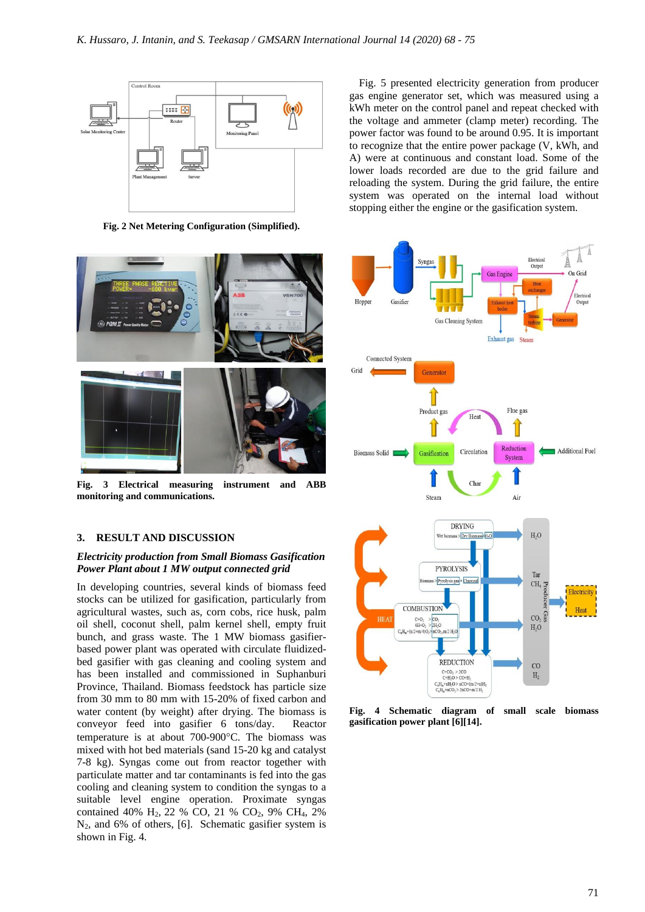

**Fig. 2 Net Metering Configuration (Simplified).**



**Fig. 3 Electrical measuring instrument and ABB monitoring and communications.**

#### **3. RESULT AND DISCUSSION**

#### *Electricity production from Small Biomass Gasification Power Plant about 1 MW output connected grid*

In developing countries, several kinds of biomass feed stocks can be utilized for gasification, particularly from agricultural wastes, such as, corn cobs, rice husk, palm oil shell, coconut shell, palm kernel shell, empty fruit bunch, and grass waste. The 1 MW biomass gasifierbased power plant was operated with circulate fluidizedbed gasifier with gas cleaning and cooling system and has been installed and commissioned in Suphanburi Province, Thailand. Biomass feedstock has particle size from 30 mm to 80 mm with 15-20% of fixed carbon and water content (by weight) after drying. The biomass is conveyor feed into gasifier 6 tons/day. Reactor temperature is at about  $700-900$ °C. The biomass was mixed with hot bed materials (sand 15-20 kg and catalyst 7-8 kg). Syngas come out from reactor together with particulate matter and tar contaminants is fed into the gas cooling and cleaning system to condition the syngas to a suitable level engine operation. Proximate syngas contained 40% H2, 22 % CO, 21 % CO2, 9% CH4, 2% N2, and 6% of others, [6]. Schematic gasifier system is shown in Fig. 4.

Fig. 5 presented electricity generation from producer gas engine generator set, which was measured using a kWh meter on the control panel and repeat checked with the voltage and ammeter (clamp meter) recording. The power factor was found to be around 0.95. It is important to recognize that the entire power package (V, kWh, and A) were at continuous and constant load. Some of the lower loads recorded are due to the grid failure and reloading the system. During the grid failure, the entire system was operated on the internal load without stopping either the engine or the gasification system.



**Fig. 4 Schematic diagram of small scale biomass gasification power plant [6][14].**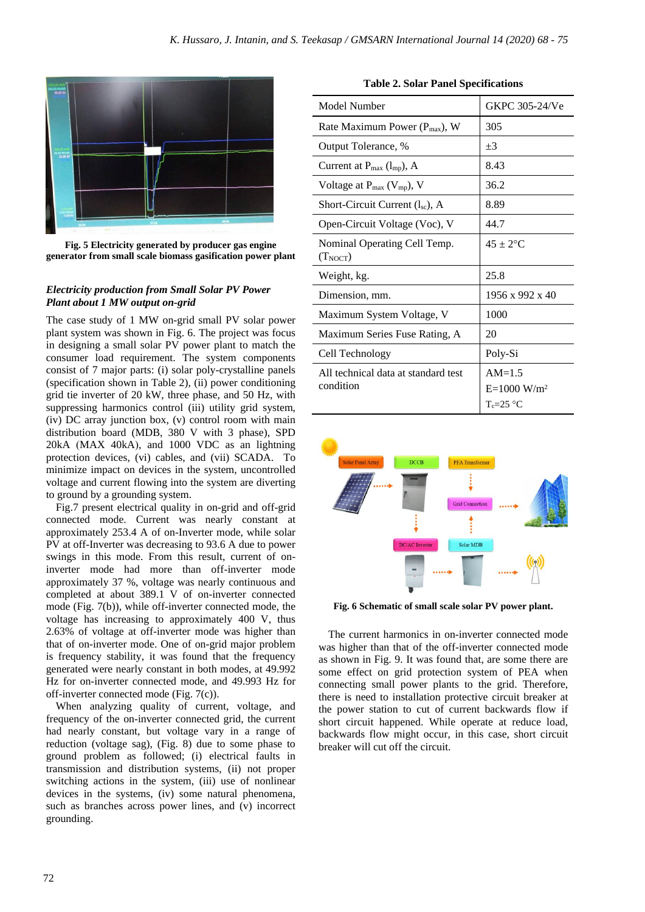

**Fig. 5 Electricity generated by producer gas engine generator from small scale biomass gasification power plant**

## *Electricity production from Small Solar PV Power Plant about 1 MW output on-grid*

The case study of 1 MW on-grid small PV solar power plant system was shown in Fig. 6. The project was focus in designing a small solar PV power plant to match the consumer load requirement. The system components consist of 7 major parts: (i) solar poly-crystalline panels (specification shown in Table 2), (ii) power conditioning grid tie inverter of 20 kW, three phase, and 50 Hz, with suppressing harmonics control (iii) utility grid system, (iv) DC array junction box, (v) control room with main distribution board (MDB, 380 V with 3 phase), SPD 20kA (MAX 40kA), and 1000 VDC as an lightning protection devices, (vi) cables, and (vii) SCADA. To minimize impact on devices in the system, uncontrolled voltage and current flowing into the system are diverting to ground by a grounding system.

Fig.7 present electrical quality in on-grid and off-grid connected mode. Current was nearly constant at approximately 253.4 A of on-Inverter mode, while solar PV at off-Inverter was decreasing to 93.6 A due to power swings in this mode. From this result, current of oninverter mode had more than off-inverter mode approximately 37 %, voltage was nearly continuous and completed at about 389.1 V of on-inverter connected mode (Fig. 7(b)), while off-inverter connected mode, the voltage has increasing to approximately 400 V, thus 2.63% of voltage at off-inverter mode was higher than that of on-inverter mode. One of on-grid major problem is frequency stability, it was found that the frequency generated were nearly constant in both modes, at 49.992 Hz for on-inverter connected mode, and 49.993 Hz for off-inverter connected mode (Fig. 7(c)).

When analyzing quality of current, voltage, and frequency of the on-inverter connected grid, the current had nearly constant, but voltage vary in a range of reduction (voltage sag), (Fig. 8) due to some phase to ground problem as followed; (i) electrical faults in transmission and distribution systems, (ii) not proper switching actions in the system, (iii) use of nonlinear devices in the systems, (iv) some natural phenomena, such as branches across power lines, and (v) incorrect grounding.

| Model Number                                      | GKPC 305-24/Ve                              |  |  |
|---------------------------------------------------|---------------------------------------------|--|--|
| Rate Maximum Power (P <sub>max</sub> ), W         | 305                                         |  |  |
| Output Tolerance, %                               | $+3$                                        |  |  |
| Current at $P_{\text{max}}$ (l <sub>mp</sub> ), A | 8.43                                        |  |  |
| Voltage at $P_{max}$ (V <sub>mp</sub> ), V        | 36.2                                        |  |  |
| Short-Circuit Current $(l_{sc})$ , A              | 8.89                                        |  |  |
| Open-Circuit Voltage (Voc), V                     | 44.7                                        |  |  |
| Nominal Operating Cell Temp.<br>$(T_{NOCT})$      | $45 + 2$ <sup>o</sup> C                     |  |  |
| Weight, kg.                                       | 25.8                                        |  |  |
| Dimension, mm.                                    | $1956 \times 992 \times 40$                 |  |  |
| Maximum System Voltage, V                         | 1000                                        |  |  |
| Maximum Series Fuse Rating, A                     | 20                                          |  |  |
| Cell Technology                                   | Poly-Si                                     |  |  |
| All technical data at standard test<br>condition  | $AM=1.5$<br>$E=1000 W/m^2$<br>$T_c = 25$ °C |  |  |

**Table 2. Solar Panel Specifications**



**Fig. 6 Schematic of small scale solar PV power plant.**

The current harmonics in on-inverter connected mode was higher than that of the off-inverter connected mode as shown in Fig. 9. It was found that, are some there are some effect on grid protection system of PEA when connecting small power plants to the grid. Therefore, there is need to installation protective circuit breaker at the power station to cut of current backwards flow if short circuit happened. While operate at reduce load, backwards flow might occur, in this case, short circuit breaker will cut off the circuit.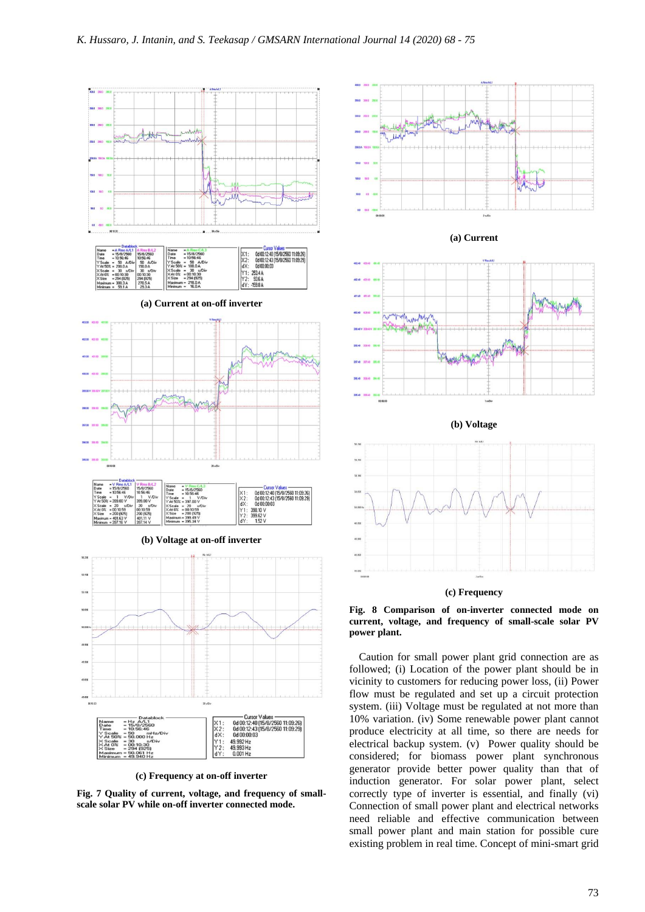

**(c) Frequency at on-off inverter**

**Fig. 7 Quality of current, voltage, and frequency of smallscale solar PV while on-off inverter connected mode.**



**(a) Current**







Caution for small power plant grid connection are as followed; (i) Location of the power plant should be in vicinity to customers for reducing power loss, (ii) Power flow must be regulated and set up a circuit protection system. (iii) Voltage must be regulated at not more than 10% variation. (iv) Some renewable power plant cannot produce electricity at all time, so there are needs for electrical backup system. (v) Power quality should be considered; for biomass power plant synchronous generator provide better power quality than that of induction generator. For solar power plant, select correctly type of inverter is essential, and finally (vi) Connection of small power plant and electrical networks need reliable and effective communication between small power plant and main station for possible cure existing problem in real time. Concept of mini-smart grid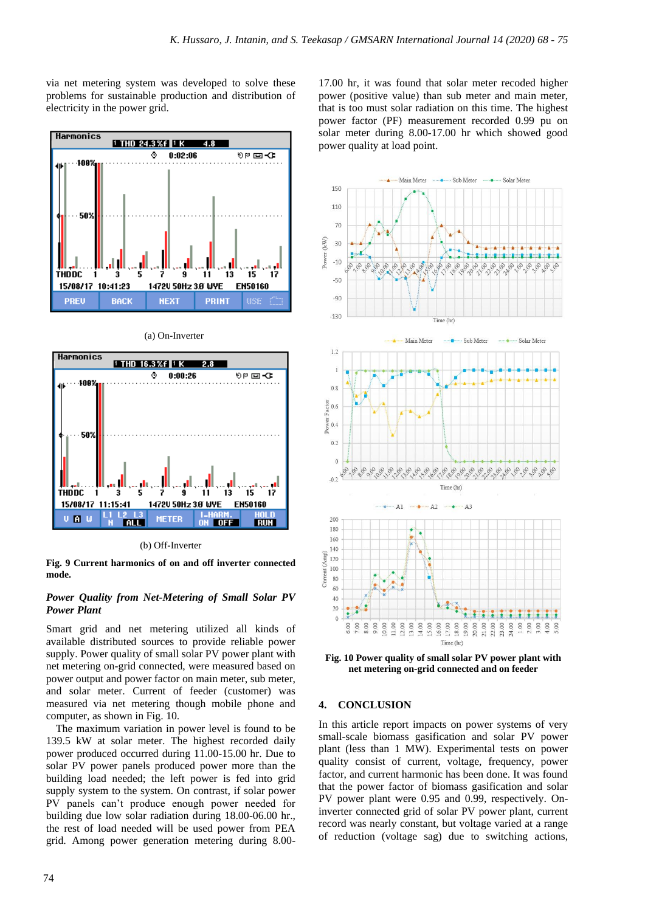via net metering system was developed to solve these problems for sustainable production and distribution of electricity in the power grid.





ġ

14720 50Hz 3.8 WYE

 $13$  $15$  17

**RUN** 

EN50160

 $\ddot{\mathbf{1}}$ 

**ON OFF** 

(a) On-Inverter



**METER** 

**TALL** 

**Fig. 9 Current harmonics of on and off inverter connected mode.**

### *Power Quality from Net-Metering of Small Solar PV Power Plant*

Smart grid and net metering utilized all kinds of available distributed sources to provide reliable power supply. Power quality of small solar PV power plant with net metering on-grid connected, were measured based on power output and power factor on main meter, sub meter, and solar meter. Current of feeder (customer) was measured via net metering though mobile phone and computer, as shown in Fig. 10.

The maximum variation in power level is found to be 139.5 kW at solar meter. The highest recorded daily power produced occurred during 11.00-15.00 hr. Due to solar PV power panels produced power more than the building load needed; the left power is fed into grid supply system to the system. On contrast, if solar power PV panels can't produce enough power needed for building due low solar radiation during 18.00-06.00 hr., the rest of load needed will be used power from PEA grid. Among power generation metering during 8.0017.00 hr, it was found that solar meter recoded higher power (positive value) than sub meter and main meter, that is too must solar radiation on this time. The highest power factor (PF) measurement recorded 0.99 pu on solar meter during 8.00-17.00 hr which showed good power quality at load point.



**Fig. 10 Power quality of small solar PV power plant with net metering on-grid connected and on feeder**

#### **4. CONCLUSION**

In this article report impacts on power systems of very small-scale biomass gasification and solar PV power plant (less than 1 MW). Experimental tests on power quality consist of current, voltage, frequency, power factor, and current harmonic has been done. It was found that the power factor of biomass gasification and solar PV power plant were 0.95 and 0.99, respectively. Oninverter connected grid of solar PV power plant, current record was nearly constant, but voltage varied at a range of reduction (voltage sag) due to switching actions,

**THDDC** 

 $U$   $R$   $U$ 

15/08/17 11:15:41